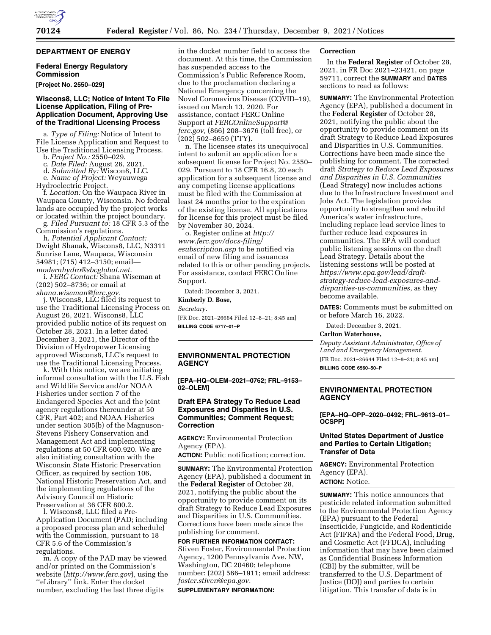# **DEPARTMENT OF ENERGY**

# **Federal Energy Regulatory Commission**

### **[Project No. 2550–029]**

### **Wiscons8, LLC; Notice of Intent To File License Application, Filing of Pre-Application Document, Approving Use of the Traditional Licensing Process**

a. *Type of Filing:* Notice of Intent to File License Application and Request to

- 
- 
- 

Use the Traditional Licensing Process. b. *Project No.:* 2550–029. c. *Date Filed:* August 26, 2021. d. *Submitted By:* Wiscon8, LLC. e. *Name of Project:* Weyauwega

Hydroelectric Project. f. *Location:* On the Waupaca River in Waupaca County, Wisconsin. No federal lands are occupied by the project works or located within the project boundary.

g. *Filed Pursuant to:* 18 CFR 5.3 of the

Commission's regulations. h. *Potential Applicant Contact:*  Dwight Shanak, Wiscons8, LLC, N3311 Sunrise Lane, Waupaca, Wisconsin 54981; (715) 412–3150; email-<br>modernhydro@sbcglobal.net. *[modernhydro@sbcglobal.net.](mailto:modernhydro@sbcglobal.net)* i. *FERC Contact:* Shana Wiseman at

(202) 502–8736; or email at

*[shana.wiseman@ferc.gov.](mailto:shana.wiseman@ferc.gov)* j. Wiscons8, LLC filed its request to use the Traditional Licensing Process on August 26, 2021. Wiscons8, LLC provided public notice of its request on October 28, 2021. In a letter dated December 3, 2021, the Director of the Division of Hydropower Licensing approved Wiscons8, LLC's request to

use the Traditional Licensing Process. k. With this notice, we are initiating informal consultation with the U.S. Fish and Wildlife Service and/or NOAA Fisheries under section 7 of the Endangered Species Act and the joint agency regulations thereunder at 50 CFR, Part 402; and NOAA Fisheries under section 305(b) of the Magnuson-Stevens Fishery Conservation and Management Act and implementing regulations at 50 CFR 600.920. We are also initiating consultation with the Wisconsin State Historic Preservation Officer, as required by section 106, National Historic Preservation Act, and the implementing regulations of the Advisory Council on Historic Preservation at 36 CFR 800.2.

l. Wiscons8, LLC filed a Pre-Application Document (PAD; including a proposed process plan and schedule) with the Commission, pursuant to 18 CFR 5.6 of the Commission's regulations. m. A copy of the PAD may be viewed

and/or printed on the Commission's website (*<http://www.ferc.gov>*), using the ''eLibrary'' link. Enter the docket number, excluding the last three digits

in the docket number field to access the document. At this time, the Commission has suspended access to the Commission's Public Reference Room, due to the proclamation declaring a National Emergency concerning the Novel Coronavirus Disease (COVID–19), issued on March 13, 2020. For assistance, contact FERC Online Support at *[FERCOnlineSupport@](mailto:FERCOnlineSupport@ferc.gov) [ferc.gov,](mailto:FERCOnlineSupport@ferc.gov)* (866) 208–3676 (toll free), or (202) 502–8659 (TTY).

n. The licensee states its unequivocal intent to submit an application for a subsequent license for Project No. 2550– 029. Pursuant to 18 CFR 16.8, 20 each application for a subsequent license and any competing license applications must be filed with the Commission at least 24 months prior to the expiration of the existing license. All applications for license for this project must be filed by November 30, 2024.

o. Register online at *[http://](http://www.ferc.gov/docs-filing/esubscription.asp) [www.ferc.gov/docs-filing/](http://www.ferc.gov/docs-filing/esubscription.asp)  [esubscription.asp](http://www.ferc.gov/docs-filing/esubscription.asp)* to be notified via email of new filing and issuances related to this or other pending projects. For assistance, contact FERC Online Support.

Dated: December 3, 2021.

# **Kimberly D. Bose,**

*Secretary.* 

[FR Doc. 2021–26664 Filed 12–8–21; 8:45 am] **BILLING CODE 6717–01–P** 

# **ENVIRONMENTAL PROTECTION AGENCY**

**[EPA–HQ–OLEM–2021–0762; FRL–9153– 02–OLEM]** 

## **Draft EPA Strategy To Reduce Lead Exposures and Disparities in U.S. Communities; Comment Request; Correction**

**AGENCY:** Environmental Protection Agency (EPA).

**ACTION:** Public notification; correction.

**SUMMARY:** The Environmental Protection Agency (EPA), published a document in the **Federal Register** of October 28, 2021, notifying the public about the opportunity to provide comment on its draft Strategy to Reduce Lead Exposures and Disparities in U.S. Communities. Corrections have been made since the publishing for comment.

**FOR FURTHER INFORMATION CONTACT:**  Stiven Foster, Environmental Protection Agency, 1200 Pennsylvania Ave. NW, Washington, DC 20460; telephone number: (202) 566–1911; email address: *[foster.stiven@epa.gov.](mailto:foster.stiven@epa.gov)* 

**SUPPLEMENTARY INFORMATION:** 

#### **Correction**

In the **Federal Register** of October 28, 2021, in FR Doc 2021–23421, on page 59711, correct the **SUMMARY** and **DATES** sections to read as follows:

**SUMMARY:** The Environmental Protection Agency (EPA), published a document in the **Federal Register** of October 28, 2021, notifying the public about the opportunity to provide comment on its draft Strategy to Reduce Lead Exposures and Disparities in U.S. Communities. Corrections have been made since the publishing for comment. The corrected draft *Strategy to Reduce Lead Exposures and Disparities in U.S. Communities*  (Lead Strategy) now includes actions due to the Infrastructure Investment and Jobs Act. The legislation provides opportunity to strengthen and rebuild America's water infrastructure, including replace lead service lines to further reduce lead exposures in communities. The EPA will conduct public listening sessions on the draft Lead Strategy. Details about the listening sessions will be posted at *[https://www.epa.gov/lead/draft](https://www.epa.gov/lead/draft-strategy-reduce-lead-exposures-and-disparities-us-communities)[strategy-reduce-lead-exposures-and](https://www.epa.gov/lead/draft-strategy-reduce-lead-exposures-and-disparities-us-communities)[disparities-us-communities,](https://www.epa.gov/lead/draft-strategy-reduce-lead-exposures-and-disparities-us-communities)* as they become available.

**DATES:** Comments must be submitted on or before March 16, 2022.

Dated: December 3, 2021.

#### **Carlton Waterhouse,**

*Deputy Assistant Administrator, Office of Land and Emergency Management.*  [FR Doc. 2021–26644 Filed 12–8–21; 8:45 am]

**BILLING CODE 6560–50–P** 

## **ENVIRONMENTAL PROTECTION AGENCY**

**[EPA–HQ–OPP–2020–0492; FRL–9613–01– OCSPP]** 

#### **United States Department of Justice and Parties to Certain Litigation; Transfer of Data**

**AGENCY:** Environmental Protection Agency (EPA).

#### **ACTION:** Notice.

**SUMMARY:** This notice announces that pesticide related information submitted to the Environmental Protection Agency (EPA) pursuant to the Federal Insecticide, Fungicide, and Rodenticide Act (FIFRA) and the Federal Food, Drug, and Cosmetic Act (FFDCA), including information that may have been claimed as Confidential Business Information (CBI) by the submitter, will be transferred to the U.S. Department of Justice (DOJ) and parties to certain litigation. This transfer of data is in